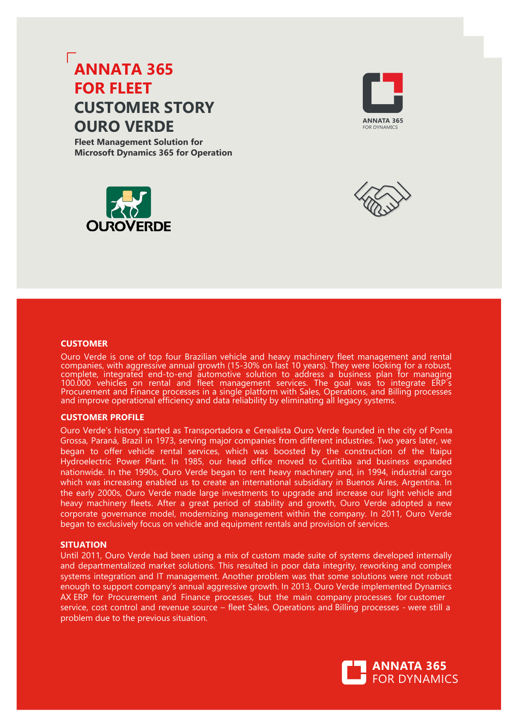# **ANNATA 365 FOR FLEET CUSTOMER STORY OURO VERDE**

**Fleet Management Solution for Microsoft Dynamics 365 for Operation**







#### **CUSTOMER**

Ouro Verde is one of top four Brazilian vehicle and heavy machinery fleet management and rental companies, with aggressive annual growth (15-30% on last 10 years). They were looking for a robust, complete, integrated end-to-end automotive solution to address a business plan for managing 100.000 vehicles on rental and fleet management services. The goal was to integrate ERP`s Procurement and Finance processes in a single platform with Sales, Operations, and Billing processes and improve operational efficiency and data reliability by eliminating all legacy systems.

### **CUSTOMER PROFILE**

Ouro Verde's history started as Transportadora e Cerealista Ouro Verde founded in the city of Ponta Grossa, Paraná, Brazil in 1973, serving major companies from different industries. Two years later, we began to offer vehicle rental services, which was boosted by the construction of the Itaipu Hydroelectric Power Plant. In 1985, our head office moved to Curitiba and business expanded nationwide. In the 1990s, Ouro Verde began to rent heavy machinery and, in 1994, industrial cargo which was increasing enabled us to create an international subsidiary in Buenos Aires, Argentina. In the early 2000s, Ouro Verde made large investments to upgrade and increase our light vehicle and heavy machinery fleets. After a great period of stability and growth, Ouro Verde adopted a new corporate governance model, modernizing management within the company. In 2011, Ouro Verde began to exclusively focus on vehicle and equipment rentals and provision of services.

### **SITUATION**

Until 2011, Ouro Verde had been using a mix of custom made suite of systems developed internally and departmentalized market solutions. This resulted in poor data integrity, reworking and complex systems integration and IT management. Another problem was that some solutions were not robust enough to support company's annual aggressive growth. In 2013, Ouro Verde implemented Dynamics AX ERP for Procurement and Finance processes, but the main company processes for customer service, cost control and revenue source – fleet Sales, Operations and Billing processes - were still a problem due to the previous situation.

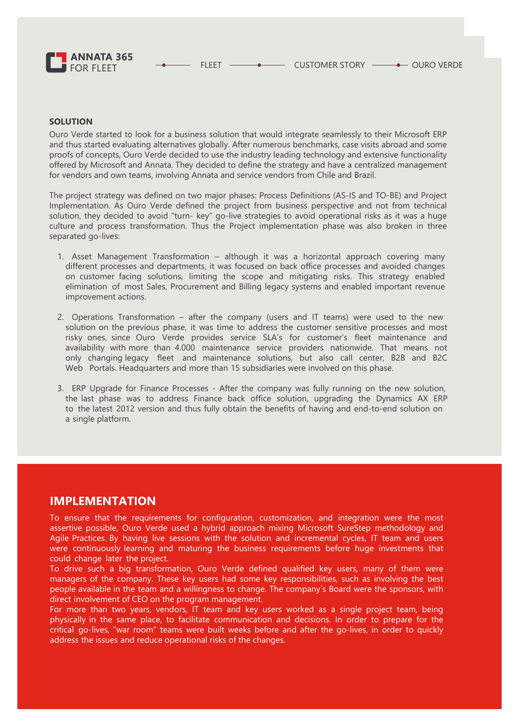

### **SOLUTION**

Ouro Verde started to look for a business solution that would integrate seamlessly to their Microsoft ERP and thus started evaluating alternatives globally. After numerous benchmarks, case visits abroad and some proofs of concepts, Ouro Verde decided to use the industry leading technology and extensive functionality offered by Microsoft and Annata. They decided to define the strategy and have a centralized management for vendors and own teams, involving Annata and service vendors from Chile and Brazil.

The project strategy was defined on two major phases: Process Definitions (AS-IS and TO-BE) and Project Implementation. As Ouro Verde defined the project from business perspective and not from technical solution, they decided to avoid "turn- key" go-live strategies to avoid operational risks as it was a huge culture and process transformation. Thus the Project implementation phase was also broken in three separated go-lives:

- 1. Asset Management Transformation although it was a horizontal approach covering many different processes and departments, it was focused on back office processes and avoided changes on customer facing solutions, limiting the scope and mitigating risks. This strategy enabled elimination of most Sales, Procurement and Billing legacy systems and enabled important revenue improvement actions.
- 2. Operations Transformation after the company (users and IT teams) were used to the new solution on the previous phase, it was time to address the customer sensitive processes and most risky ones, since Ouro Verde provides service SLA's for customer's fleet maintenance and availability with more than 4.000 maintenance service providers nationwide. That means not only changing legacy fleet and maintenance solutions, but also call center, B2B and B2C Web Portals. Headquarters and more than 15 subsidiaries were involved on this phase.
- 3. ERP Upgrade for Finance Processes After the company was fully running on the new solution, the last phase was to address Finance back office solution, upgrading the Dynamics AX ERP to the latest 2012 version and thus fully obtain the benefits of having and end-to-end solution on a single platform.

### **IMPLEMENTATION**

To ensure that the requirements for configuration, customization, and integration were the most assertive possible, Ouro Verde used a hybrid approach mixing Microsoft SureStep methodology and Agile Practices. By having live sessions with the solution and incremental cycles, IT team and users were continuously learning and maturing the business requirements before huge investments that could change later the project.

To drive such a big transformation, Ouro Verde defined qualified key users, many of them were managers of the company. These key users had some key responsibilities, such as involving the best people available in the team and a willingness to change. The company`s Board were the sponsors, with direct involvement of CEO on the program management.

For more than two years, vendors, IT team and key users worked as a single project team, being physically in the same place, to facilitate communication and decisions. In order to prepare for the critical go-lives, "war room" teams were built weeks before and after the go-lives, in order to quickly address the issues and reduce operational risks of the changes.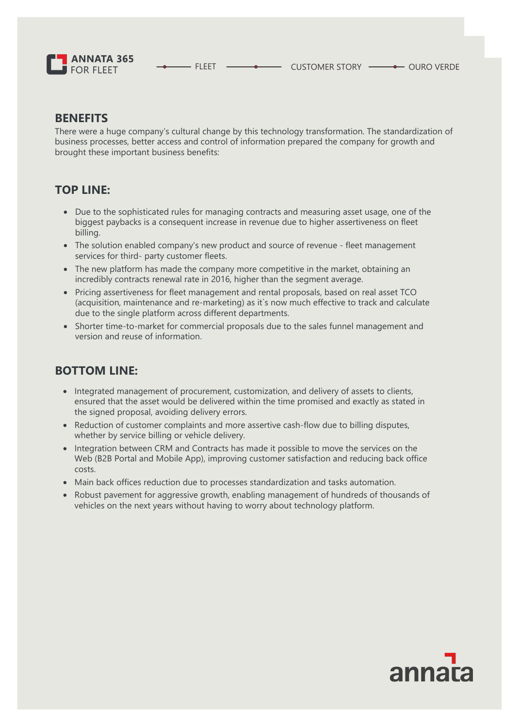

- FLEET  $\longrightarrow$  CUSTOMER STORY  $\longrightarrow$  OURO VERDE

### **BENEFITS**

There were a huge company's cultural change by this technology transformation. The standardization of business processes, better access and control of information prepared the company for growth and brought these important business benefits:

# **TOP LINE:**

- Due to the sophisticated rules for managing contracts and measuring asset usage, one of the biggest paybacks is a consequent increase in revenue due to higher assertiveness on fleet billing.
- The solution enabled company's new product and source of revenue fleet management services for third- party customer fleets.
- The new platform has made the company more competitive in the market, obtaining an incredibly contracts renewal rate in 2016, higher than the segment average.
- Pricing assertiveness for fleet management and rental proposals, based on real asset TCO (acquisition, maintenance and re-marketing) as it`s now much effective to track and calculate due to the single platform across different departments.
- Shorter time-to-market for commercial proposals due to the sales funnel management and version and reuse of information.

# **BOTTOM LINE:**

- Integrated management of procurement, customization, and delivery of assets to clients, ensured that the asset would be delivered within the time promised and exactly as stated in the signed proposal, avoiding delivery errors.
- Reduction of customer complaints and more assertive cash-flow due to billing disputes, whether by service billing or vehicle delivery.
- Integration between CRM and Contracts has made it possible to move the services on the Web (B2B Portal and Mobile App), improving customer satisfaction and reducing back office costs.
- Main back offices reduction due to processes standardization and tasks automation.
- Robust pavement for aggressive growth, enabling management of hundreds of thousands of vehicles on the next years without having to worry about technology platform.